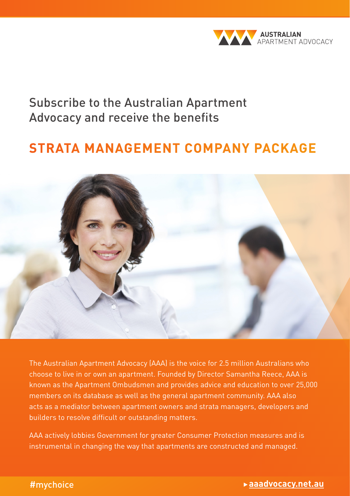

# Subscribe to the Australian Apartment Advocacy and receive the benefits

# **STRATA MANAGEMENT COMPANY PACKAGE**



The Australian Apartment Advocacy (AAA) is the voice for 2.5 million Australians who choose to live in or own an apartment. Founded by Director Samantha Reece, AAA is known as the Apartment Ombudsmen and provides advice and education to over 25,000 members on its database as well as the general apartment community. AAA also acts as a mediator between apartment owners and strata managers, developers and builders to resolve difficult or outstanding matters.

AAA actively lobbies Government for greater Consumer Protection measures and is instrumental in changing the way that apartments are constructed and managed.

#### #mychoice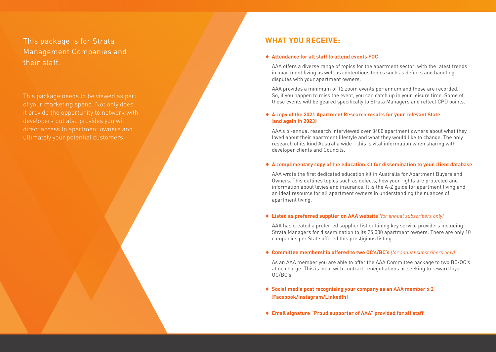This package is for Strata Management Companies and their staff.

This package needs to be viewed as part it provide the opportunity to network with developers but also provides you with direct access to apartment owners and ultimately your potential customers.

### **WHAT YOU RECEIVE:**

#### ♦ **Attendance for all staff to attend events FOC**

AAA offers a diverse range of topics for the apartment sector, with the latest trends in apartment living as well as contentious topics such as defects and handling disputes with your apartment owners.

AAA provides a minimum of 12 zoom events per annum and these are recorded. So, if you happen to miss the event, you can catch up in your leisure time. Some of these events will be geared specifically to Strata Managers and reflect CPD points.

#### ♦ **A copy of the 2021 Apartment Research results for your relevant State (and again in 2023)**

AAA's bi-annual research interviewed over 3400 apartment owners about what they loved about their apartment lifestyle and what they would like to change. The only research of its kind Australia wide – this is vital information when sharing with developer clients and Councils.

#### ♦ **A complimentary copy of the education kit for dissemination to your client database**

AAA wrote the first dedicated education kit in Australia for Apartment Buyers and Owners. This outlines topics such as defects, how your rights are protected and information about levies and insurance. It is the A-Z guide for apartment living and an ideal resource for all apartment owners in understanding the nuances of apartment living.

#### ♦ **Listed as preferred supplier on AAA website** *(for annual subscribers only)*

AAA has created a preferred supplier list outlining key service providers including Strata Managers for dissemination to its 25,000 apartment owners. There are only 10 companies per State offered this prestigious listing.

#### ♦ **Committee membership offered to two OC's/BC's** *(for annual subscribers only)*

As an AAA member you are able to offer the AAA Committee package to two BC/OC's at no charge. This is ideal with contract renegotiations or seeking to reward loyal OC/BC's.

- ♦ **Social media post recognising your company as an AAA member x 2 (Facebook/Instagram/LinkedIn)**
- ♦ **Email signature "Proud supporter of AAA" provided for all staff**